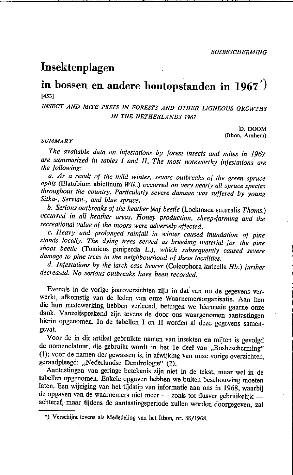*BOSBESCHERMING* 

# **Insektenplagen**

# **in bossen en andere houtopstanden in 1967\*)**  [4531

# *INSECT AND MITE PESTS IN FORESTS AND OTHER LIGNEOUS GROWTHS IN THE NETHERLANDS 1967*

D.DOOM (ltbon, Arnhem)

#### *SUMMARY*

*The avai/able dala on infeslations by foresl inseels and miles in 1967 are surnmarized in lables 1 and 11. The mosl nOleworlhy infestations are Ihe fol/owing:* 

*a. As a result of the mild winter, severe outbreaks of the green spruce aphis* (Elatobium abietinum *Wik.) occurred on very nearly all spruce species throughout the country. Particularly severe damage was suffered by young Sitka-, Servian-, and bille spruee.* 

*b. Serious out breaks of the heat her leaf beette* (Lochmaea suturalis *Thoms.) occurred* in *al1 heather areas. Honey production, sheep-farming and the recreational value of Ihe moors were adversely affeeled.* 

c. *Heavy and prolonged rainfal/* in *winIer caused inundation of pine stands loeal/y. The dying Irees served as breeding material for Ihe pine shoot beelle* (Tomicus piniperda L.), *whieh subsequently caused severe damage* 10 *pine trees in Ihe neighbourhood ot Ihese localities.* 

*d. lnfestations by the tareh case bearer* (Coleophora larieelIa *Hb.) turlher decreased. No serious outbreaks have been recorded.* 

Evenals in de vorige jaaroverzichten zijn in dat' van nu de gegevens verwerkt, afkomstig van de leden van onze Waarnemersorganisatie. Aan hen die hun medewerking hebben verleend, betuigen we hiermede gaarne onze dank. Vanzelfsprekend zijn tevens de door ons waargenomen aantastingen hierin opgenomen. In de tabellen I en IJ worden al deze gegevens samengevat.

Voor de in dit artikel gebruikte namen Van insekten en mijten is gevolgd de nomenclatuur, die gebruikt wordt in het 1e deel van "Bosbescherming" (I); voor de namen der gewassen is, in afwijking van onze vorige overzichten, geraadpleegd: "Nederlandse Dendrologie" (2).

Aantastingen van geringe betekenis zijn niet in de tekst, maar wel in de tabellen opgenomen. Enkele opgaven hebben we buiten beschouwing moeten laten, Een wijziging van het tijdstip van informatie aan ons in 1968, waarbij de opgaven van de waarnemers niet meer - zoals tot dusver gebruikelijk achteraf, maar tijdens de aantastingsperiode zullen worden doorgegeven, zal

**\*) Verschijnt tevens als Mededeling van het Itbon, nr. 88/1968.**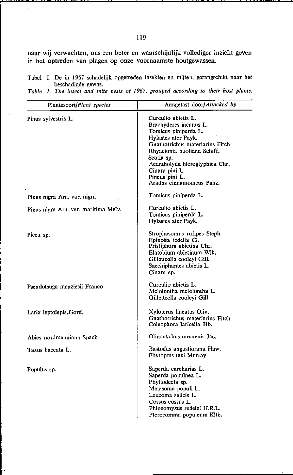naar wij verwachten, ons een beter en waarschijnlijk vollediger inzicht geven in het optreden van plagen op onze voornaamste houtgewassen.

Tabel 1. De in 1967 schadelijk opgetreden insekten en mijten, gerangschikt naar het beschadigde gewas.

*Table 1. The insect and mite pests of 1967, grouped according to their host plants.* 

| Plantesoort/Plant species            | Aangetast door/Attacked by                                                                                                                                                                                                                                                     |
|--------------------------------------|--------------------------------------------------------------------------------------------------------------------------------------------------------------------------------------------------------------------------------------------------------------------------------|
| Pinus sylvestris L.                  | Curculio abietis L.<br>Brachyderes incanus L.<br>Tomicus piniperda L.<br>Hylastes ater Payk.<br>Gnathotrichus materiarius Fitch<br>Rhyacionia buoliana Schiff.<br>Scotia sp.<br>Acantholyda hieroglyphica Chr.<br>Cinara pini L.<br>Pineus pini L.<br>Aradus cinnamomeus Panz. |
| Pinus nigra Arn. var. nigra          | Tomicus piniperda L.                                                                                                                                                                                                                                                           |
| Pinus nigra Arn. var. maritima Melv. | Curculio abietis L.<br>Tomicus piniperda L.<br>Hylastes ater Payk.                                                                                                                                                                                                             |
| Picea sp.                            | Strophosomus rufipes Steph.<br>Epinotia tedella Cl.<br>Pristiphora abietina Chr.<br>Elatobium abietinum Wlk.<br>Gilletteella cooleyi Gill.<br>Sacchiphantes abietis L.<br>Cinara sp.                                                                                           |
| Pseudotsuga menziesii Franco         | Curculio abietis L.<br>Melolontha melolontha L.<br>Gilletteella cooleyi Gill.                                                                                                                                                                                                  |
| Larix leptolepis.Gord.               | Xyloterus lineatus Oliv.<br>Gnathotrichus materiarius Fitch<br>Coleophora laricella Hb.                                                                                                                                                                                        |
| Abies nordmanniana Spach             | Oligonychus ununguis Jac.                                                                                                                                                                                                                                                      |
| Taxus baccata L.                     | Bastodus angustiorana Haw.<br>Phytoptus taxi Murray                                                                                                                                                                                                                            |
| Populus sp.                          | Saperda carcharias L.<br>Saperda populnea L.<br>Phyllodecta sp.<br>Melasoma populi L.<br>Leucoma salicis L.<br>Cossus cossus L.<br>Phloeomyzus redelei H.R.L.<br>Pterocomma populeum Kitb.                                                                                     |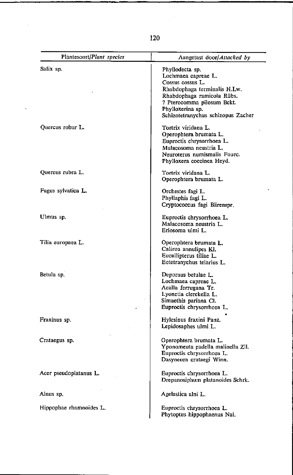120

 $\bar{\beta}$ 

 $\ddot{\phantom{1}}$ 

| Plantesoort/Plant species | Aangetast door/Attacked by                                                                                                                                                                                       |
|---------------------------|------------------------------------------------------------------------------------------------------------------------------------------------------------------------------------------------------------------|
| Salix sp.                 | Phyllodecta sp.<br>Lochmaea capreae L.<br>Cossus cossus L.<br>Rhabdophaga terminalis H.Lw.<br>Rhabdophaga ramicola Rübs.<br>? Pterocomma pilosum Bckt.<br>Phylloxerina sp.<br>Schizotetranychus schizopus Zacher |
| Quercus robur L.          | Tortrix viridana L.<br>Operophtera brumata L.<br>Euproctis chrysorrhoea L.<br>Malacosoma neustria L.<br>Neuroterus numismalis Fourc.<br>Phylloxera coccinea Heyd.                                                |
| Quercus rubra L.          | Tortrix viridana L.<br>Operophtera brumata L.                                                                                                                                                                    |
| Fagus sylvatica L.        | Orchestes fagi L.<br>Phyllaphis fagi L.<br>Cryptococcus fagi Bärenspr.                                                                                                                                           |
| Ulmus sp.                 | Euproctis chrysorrhoea L.<br>Malacosoma neustria L.<br>Eriosoma ulmi L.                                                                                                                                          |
| Tilia curopaea L.         | Operophtera brumata L.<br>Caliroa annulipes Kl.<br>Eucallipterus tiliae L.<br>Eotetranychus telarius L.                                                                                                          |
| Betula sp.                | Deporaus betulae L.<br>Lochmaea capreae L.<br>Acalla ferrugana Tr.<br>Lyonetia clerckella L.<br>Simaethis pariana Cl.<br>Euproctis chrysorrhoea L.                                                               |
| Fraxinus sp.              | Hylesinus fraxini Panz.<br>Lepidosaphes ulmi L.                                                                                                                                                                  |
| Crataegus sp.             | Operophiera brumata L.<br>Yponomeuta padella malinella Zll.<br>Euproctis chrysorrhoea L.<br>Dasyneura crataegi Winn.                                                                                             |
| Acer pseudoplatanus L.    | Euproctis chrysorrhoea L.<br>Drepanosiphum platanoides Schrk.                                                                                                                                                    |
| Alnus sp.                 | Agelastica alni L.                                                                                                                                                                                               |
| Hippophae rhamnoides L.   | Euproctis chrysorrhoea L.<br>Phytoptus hippophaenus Nal.                                                                                                                                                         |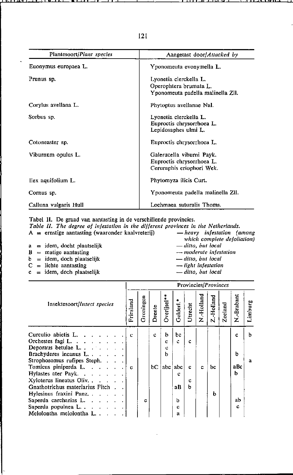| Plantesoort/Plant species | Aangetast door/Attacked by                                                            |
|---------------------------|---------------------------------------------------------------------------------------|
| Euonymus europaea L.      | Yponomeuta evonymella L.                                                              |
| Prunus sp.                | Lyonetia clerckella L.<br>Operophtera brumata L.<br>Yponomeuta padella malinella Zll. |
| Corylus avellana L.       | Phytoptus avellanae Nal.                                                              |
| Sorbus sp.                | Lyonetia clerckella L.<br>Euproctis chrysorrhoea L.<br>Lepidosaphes ulmi L.           |
| Cotoneaster sp.           | Euproctis chrysorrhoea L.                                                             |
| Viburnum opulus L.        | Galerucella viburni Payk.<br>Euproctis chrysorrhoea L.<br>Ceruraphis eriophori Wek.   |
| llex aquifolium L.        | Phytomyza ilicis Curt.                                                                |
| Cornus sp.                | Yponomeuta padella malinella ZII.                                                     |
| Calluna vulgaris Hull     | Lochmaea suturalis Thoms.                                                             |

Tabel II. De graad van aantasting in de verschillende provincies.

Table II. The degree of infestation in the different provinces in the Netherlands.

 $A =$  ernstige aantasting (waaronder kaalvreterij)

-heavy infestation (among which complete defoliation) - ditto, but local

- $a = idem$ , docht plaatselijk  $B =$  matige aantasting
- 
- $b = idem$ , doch plaatselijk  $C =$  lichte aantasting
- $c = idem$ , doch plaatselijk
- moderate infestation - ditto, but local
- light infestation
- ditto, but local

|                                                    | Provincies/Provinces |           |        |            |                       |         |           |            |         |            |              |
|----------------------------------------------------|----------------------|-----------|--------|------------|-----------------------|---------|-----------|------------|---------|------------|--------------|
| Insektesoort/Insect species                        | Friesland            | Groningen | Drente | Overijsel* | Gelderl. <sup>4</sup> | Utrecht | N.Holland | Z.-Holland | Zeeland | N.-Brabant | Limburg      |
| Curculio abietis L                                 | c                    |           | c      | b          | bc                    |         |           |            |         | c          | b            |
| Orchestes fagi L. $\cdot$ . $\cdot$ . $\cdot$      |                      |           |        | c          | ċ                     | c       |           |            |         |            |              |
| Deporaus betulae L.                                |                      |           |        | с          |                       |         |           |            |         |            |              |
| Brachyderes incanus L., ., .                       |                      |           |        | ь          |                       |         |           |            |         | h          |              |
| Strophosomus rufipes Steph                         |                      |           |        |            |                       |         |           |            |         |            | $\mathbf{a}$ |
| Tomicus piniperda L.                               | c                    |           | bС     | abc        | abc                   | c       | c         | bс         |         | aBc        |              |
| Hylastes ater Payk.                                |                      |           |        |            | c                     |         |           |            |         | ь          |              |
| Xyloterus lineatus Oliv.                           |                      |           |        |            |                       | c       |           |            |         |            |              |
| Gnathotrichus materiarius Fitch                    |                      |           |        |            | aВ                    | ь       |           |            |         |            |              |
| Hylesinus fraxini Panz.                            |                      |           |        |            |                       |         |           | ħ          |         |            |              |
| Saperda carcharias L.                              |                      | c         |        |            | h                     |         |           |            |         | ab         |              |
| Saperda populnea $L \cdot \cdot \cdot \cdot \cdot$ |                      |           |        |            | c                     |         |           |            |         | c          |              |
| Melolontha melolontha $L_1$ , $L_2$                |                      |           |        |            | a                     |         |           |            |         |            |              |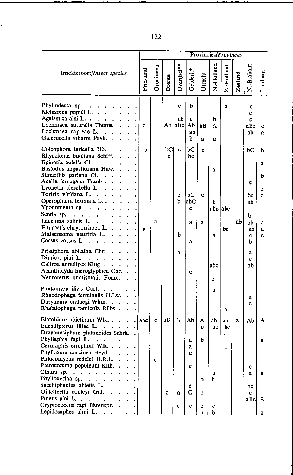|                                                                                                                                                                                                                                                                                                                                                                                                                                                                                                                                                | Provincies/Provinces |           |         |                       |                                                      |                             |                               |                                    |              |                                                                  |                                                 |
|------------------------------------------------------------------------------------------------------------------------------------------------------------------------------------------------------------------------------------------------------------------------------------------------------------------------------------------------------------------------------------------------------------------------------------------------------------------------------------------------------------------------------------------------|----------------------|-----------|---------|-----------------------|------------------------------------------------------|-----------------------------|-------------------------------|------------------------------------|--------------|------------------------------------------------------------------|-------------------------------------------------|
| Insektesoort/Insect species                                                                                                                                                                                                                                                                                                                                                                                                                                                                                                                    | Friesland            | Groningen | Drente  | $Overijsel**$         | Gelderl.*                                            | Utrecht                     | N.-Holland                    | Z.-Holland                         | Zeeland      | N.-Brabant                                                       | Limburg                                         |
| Phyllodecta sp.<br>$\mathbf{z} = \mathbf{z}$<br>Melasoma populi L.<br>Agelastica alni L.<br>Lochmaea suturalis Thoms.<br>Lochmaea capreae L<br>Galerucella viburni Payk                                                                                                                                                                                                                                                                                                                                                                        | a                    |           | Ab      | c<br>ab<br> ABC       | b<br>c<br>Аb<br>ab<br>b.                             | aВ<br>a                     | ы<br>A<br>c                   | a.                                 |              | c<br>c.<br>c<br>aBc<br>ab                                        | c<br>a                                          |
| Coleophora laricella Hb<br>Rhyacionia buoliana Schiff. .<br>Epinotia tedella Cl.<br>Bastodus angustiorana Haw<br>Simaethis pariana Cl.<br>Acalla ferrugana Traub<br>Lyonetia clerckella L.<br>Tortrix viridana L<br>Operophtera brumata L<br>Yponomeuta sp. $\ldots$ .<br>Scotia sp. $\cdots$ $\cdots$ $\cdots$<br>Leucoma salicis L.<br>Euproctis chrysorrhoea L<br>Malacosoma neustria L.<br>Cossus cossus L<br>Pristiphora abietina Chr.<br>Diprion pini L.<br><b>Contractor</b><br>Caliroa annulipes Klug<br>Acantholyda hieroglyphica Chr | ь<br>a               | a         | bC<br>c | c<br>b<br>b<br>b<br>a | ьс<br>bc<br>bc<br>abC<br>c<br>a<br>$\mathbf{a}$<br>C | c<br>¢<br>a                 | a<br>b<br>$\mathbf{a}$<br>abc | abc labc<br>bc                     | ab           | bС<br>c<br>bс<br>ab<br>b<br>ab<br>ab<br>c.<br>ь<br>a<br>Ċ.<br>ab | b<br>a<br>ь<br>b<br>$\mathbf{a}$<br>c<br>a<br>c |
| Neuroterus numismalis Fourc.<br>Phytomyza ilicis Curt<br>Rhabdophaga terminalis H.Lw<br>Dasyneura crataegi Winn<br>Rhabdophaga ramicola Rübs<br>Elatobium abietinum Wlk<br>Eucallipterus tiliae L.<br><b>Contract Contract</b><br>Drepanosiphum platanoides Schrk<br>Phyllaphis fagi L.<br><b>Contractor</b><br>Ceruraphis eriophori Wlk<br>Phylloxera coccinea Heyd<br>Phloeomyzus redelei H.R.L.                                                                                                                                             | ·label               | c<br>c    | aB      | ь                     | Аb<br>а<br>a                                         | A<br>c<br>b                 | c<br>a<br>aЬ<br>ab            | a<br>ab<br>bc<br>$\mathbf{a}$<br>a | $\mathbf{a}$ | a<br>Ć<br>Ab                                                     | А<br>a                                          |
| Pterocomma populeum Kltb<br>Cinara sp.<br>$\sim$ $\sim$ $\sim$ $\sim$<br>$\ddotsc$<br>Phylloxerina sp.<br>$\cdot$<br>Sacchiphantes abietis L.<br>Gilletteella cooleyi Gill.<br>Pineus pini L.<br>$\ddot{\phantom{a}}$<br>$\mathcal{A}=\mathcal{A}$ .<br>Cryptococcus fagi Bärenspr.<br>Lepidosaphes ulmi L.<br>$\sim 10^{-11}$ km $^{-1}$                                                                                                                                                                                                      |                      |           | c       | a<br>c                | c<br>c<br>с<br>c                                     | Ъ<br>c<br>¢<br>$\mathbf{a}$ | a<br>ħ<br>c<br>b.             |                                    |              | c<br>a.<br>bc<br>$\mathbf{c}$<br>aBc                             | a<br>В<br>c                                     |

122

l.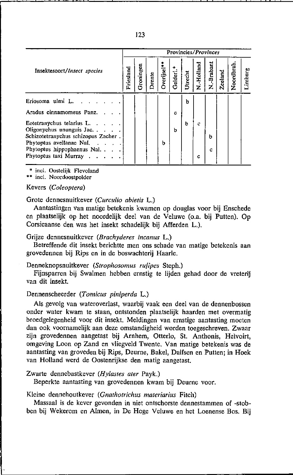| Provincies/Provinces |                                                                                |        |          |          |         |              |               |         |           |         |  |  |  |
|----------------------|--------------------------------------------------------------------------------|--------|----------|----------|---------|--------------|---------------|---------|-----------|---------|--|--|--|
| Friesland            | <b>Groningen</b>                                                               | Drente | Dverijse | Gelderl. | Utrecht | Hollan.<br>z | -Brabant<br>z | Zeeland | Noordbrab | Limburg |  |  |  |
|                      |                                                                                |        |          |          | b       |              |               |         |           |         |  |  |  |
|                      |                                                                                |        |          | с        |         |              |               |         |           |         |  |  |  |
|                      |                                                                                |        | b        | h        | h       | c<br>с       | h<br>с        |         |           |         |  |  |  |
|                      | $\cdots$<br>Schizotetranychus schizopus Zacher.<br>Phytoptus hippophaenus Nal. |        |          |          |         |              |               |         |           |         |  |  |  |

**>I< inel. Oostelijk Flevoland** 

**\*\* inel. Noordoostpolder** 

# Kevers *(Co/eop/era)*

Grote dennesnuitkever *(Curculio abietis* L.)

Aantastingen Van matige betekenis kwamen op douglas voor bij Enschede en plaatselijk op het noordelijk deel van de Veluwe (o.a. bij Putten). Op Corsicaanse den was het insekt schadelijk bij Afferden L.).

# Grijze dennesnuitkever *(Brachyderes incanus* L.)

Betreffende dit insekt berichtte men ons schade van matige betekenis aan grovedennen bij Rips en in de boswachterij Haarle.

Denneknopsnuitkever *(Strophosomus rufipes* Steph.)

Fijnsparren bij Swalmen hebben ernstig te lijden gehad door de vreterij van dit insekt.

### Dennenscheerder *(Tomicus piniperda* L.)

Als gevolg van wateroverlast, waarbij vaak een deel van de dennenbossen onder water kwam te staan, ontstonden plaatselijk haarden met overmatig broedgelegenheid VOOr dit insekt. Meldingen van ernstige aantasting moeten dan ook voornamelijk aan deze omstandigbeid worden toegeschreven. Zwaar zijn grovedennen aangetast bij Arnhem, Otterlo, St. Anthonis, Helvoirt, omgeving Loon op Zand en vliegveld Twente. Van matige betekenis was de aantasting van groveden bij Rips, Deurne, Bakel, Dalfsen en Putten; in Hoek van Holland werd de Oostenrijkse den matig aangetast.

Zwarte dennebastkever *(Hylastes ater Payk.)* 

Beperkte aantasting van grovedennen kwam bij Deurne voor.

#### Kleine dennehoutkever *(Gnatho/richus materiarius* Fitch)

Massaal is de kever gevonden in niet ontschorste dennestammen of -stobben bij Wekerom en Almen, in De Hoge Veluwe en het Loenense Bos. Bij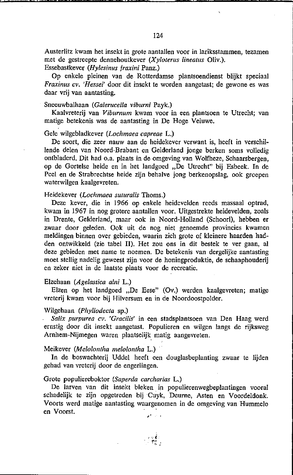Austerlitz kwam het insekt in grote aantallen voor in lariksstammen, tezamen met de gestreepte dennehoutkever *(Xyloterus lineatus Oliv.)*. Essebastkever (Hylesinus fraxini Panz.)

Op enkele pleinen van de Rotterdamse plantsoendienst blijkt speciaal *Fraxinus cv. 'Hessei'* door dit insekt te worden aangetast; de gewone es was daar vrij van aantasting.

#### Sneeuwbalhaan *(Galerueella viburni* Payk.)

Kaalvreterij van *Viburnum* kwam voor in een plantsoen te Utrecht; van matige betekenis was de aantasting in De Hoge Veluwe.

# Gele wilgebladkever *(Lochmaea eapreae* L.)

De soort, die zeer nauw aan de heidekever verwant is, heeft in verschillende delen van Noord-Brabant en Gelderland jonge berken soms volledig ontbladerd. Dit had o.a. plaats in de omgeving van Wolfheze, Schaarsbergen, op de Gortelse heide en in het landgoed "De Utrecht" bij Esbeek. **In** de Peel en de Strabrechtse heide zijn behalve jong berkenopslag, ook groepen waterwilgen kaalgevreten.

#### Heidekever *(Lochmaea suturalis Thoms.)*

Deze kever, die in 1966 op enkele heidevelden reeds massaal optrad, kwam in 1967 in nog grotere aantaIlen voor. Uitgestrekte heidevelden, zoals in Drente, Gelderland, maar ook in Noord-HoIland (Schoorl), hebben er zwaar door geleden. Ook uit de nog niet genoemde provincies kwamen meldingen binnen over gebieden, waarin zich grote of kleinere haarden hadden ontwikkeld (zie tabel 11). Het zou ons in dit bestek te ver gaan, al deze gebieden met name te noemen. De betekenis van dergelijke aantasting moet stelIig nadelig geweest zijn voor de honingproduktie, de schaaphouderij en zeker niet in de laatste plaats voor de recreatie.

#### Elzehaan *(Agelastica alni* L.)

Elzen op het landgoed "De Eese" (Ov.) werden kaalgevreten; matige vreterij kwam voor bij Hilversum en in de Noordoostpolder.

#### Wilgehaan *(Phyllodec/a* sp.)

Salix purpurea cv. 'Gracilis' in een stadsplantsoen van Den Haag werd ernstig door dit insekt aangetast. Populieren en wilgen langs de rijksweg Arnhem-Nijmegen waren plaatselijk matig aangevreten.

## Meikever *(Melolontha melolontha L.)*

**In** de boswachterij Uddel heeft een douglasbeplanting zwaar te lijden gehad van vreterij door de engerlingen.

#### Grote populiereboktor *(Saperda carcharias* L.)

De larven van dit insekt bleken in populierenwegbeplantingen vooral schadelijk te zijn opgetreden bijCuyk, Deurne, Asten en Voordeldonk. Voorts werd matige aantasting waargenomen in de omgeving van Hummelo en Voorst. "

- र हुई।<br>∽ा हुई ।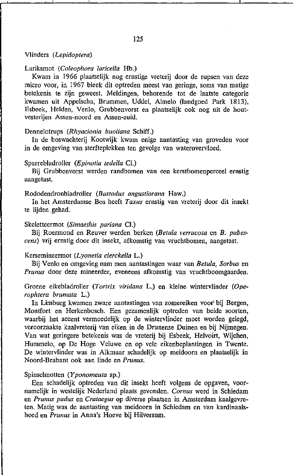# Vlinders *(Lepidop/era)*

### Lariksmot *(Coleophora laricella Hb.)*

Kwam in 1966 plaatselijk nog ernstige vreterij door de rupsen van deze micro voor, in 1967 bleek dit optreden meest van geringe, soms van matige betekenis te zijn geweest. Meldingen, behorende tot de laatste categorie kwamen uit Appelscha, Brummen, Uddel, Almelo (landgoed Park 1813), Esbeek, Helden, Venlo, Grubbenvorst en plaatselijk ook nog uit de hout**vesterijen Assen-noord en Assen-zuid.** 

#### Dennelotrups *(Rhyacionia buoliana* Schiff.)

In de boswachterij Kootwijk kwam enige aantasting van groveden voor in de omgeving van sterfteplekken ten gevolge van waterovervloed.

# Sparrebladroller (Epinotia tedella Cl.)

Bij Grubbenvorst werden randbomen van een kerstbomenperceel ernstig aangetast.

# Rododendronbladroller *(Bas/odus angustiorana* Haw.)

In het Amsterdamse Bos heeft *Taxus* ernstig van vreterij door dit insekt te lijden gehad.

### Skeletteermot *(Simaethis pariana Cl.)*

Bij Roermond en Reuver werden berken (Betula verrucosa en B. pubeseens) vrij ernstig door dit insekt, afkomstig van vruchtbomen, aangetast.

# Kersemineermot *(Lyonetia clerckelIa* L.)

Bij Venlo en omgeving nam men aantastingen waar van *Betuia, Sorbus* en *Prunus* door deze mineerder, eveneens afkomstig van vruchtboomgaarden.

Groene eikebladroller (Tortrix viridana L.) en kleine wintervlinder (Ope*rophlera brumata* L.)

In Limburg kwamen zware aantastingen van zomereiken voor bij Bergen, Montfort en Herkenbosch. Een gezamenlijk optreden van beide soorten, waarbij het accent vermoedelijk op de wintervlinder moet worden gelegd, veroorzaakte kaalvreterij van eiken in de Drunense Duinen en bij Nijmegen. Van wat geringere betekenis was de vreterij bij Esbeek, Helvoirt, Wijchen, Hummelo, op De Hoge Veluwe en op vele eikenbeplantingen in Twente. De wintervlinder was in Alkmaar schadelijk op meidoorn en plaatselijk in Noord-Brabant ook aan linde en *Prunus.* 

# Spinselmotten *(Yponomeuta* sp.)

Een schadelijk optreden van dit insekt heeft volgens de opgaven, voornamelijk in westelijk Nederland plaats gevonden. *Comus* werd in Schiedam en *Prunus padus* en *Cralaegus* op diverse plaatsen in Amsterdam kaalgevreten. Matig was de aantasting van meidoorn in Schiedam en van kardinaalshoed en *Prunus* in Anna's Hoeve bij Hilversum.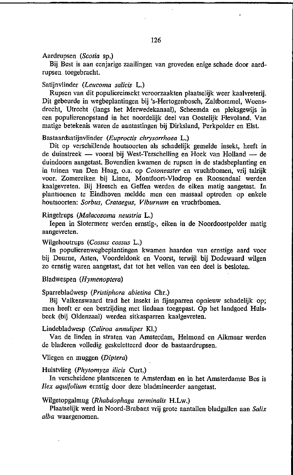#### Aardrupsen *(Scotia* sp.)

Bij Best is aan eenjarige zaailingen van groveden enige schade door aardrupsen toegebracht.

## Satijnvlinder *(Leucoma salicis* L.)

Rupsen van dit populiereinsekt veroorzaakten plaatselijk weer kaalvreterij. Dit gebeurde in wegbeplantingen bij 's-Hertogenbosch, Zaltbommel, Woensdrecht, Utrecht (langs het Merwedekanaal), Scheemda en pleksgewijs in een populierenopstand in het noordelijk deel van Oostelijk Flevoland. Van matige betekenis waren de aantastingen bij Dirksland, Perkpolder en Eist.

#### Bastaardsatijnvlinder *(Euproctis chrysorrhoea* L.)

Dit op verschillende houtsoorten als schadelijk gemelde insekt, heeft in de duinstreek — vooral bij West-Terschelling en Hoek van Holland — de duindoorn aangetast. Bovendien kwamen de rupsen in de stadsbeplanting en in tuinen van Den Haag, o.a. op *Cotoneaster* en vruchtbomen, vrij talrijk voor. Zomereiken bij Linne, Montfoort-Vlodrop en Roosendaal werden kaalgevreten. Bij Heesch en Geffen werden de eiken matig aangetast. In plantsoenen te Eindhoven. meldde men een massaal optreden op enkele houtsoorten: *Sorbus, Crataegus, Viburnum* en vruchtbomen.

#### Ringelrups *(Malacosoma neustria* L.)

Iepen in Slotermeer werden ernstig-, eiken in de Noordoostpolder matig aangevreten.

#### Wilgehoutrups *(Cossus cossus* L.)

In populierenwegbeplantingen kwamen haarden van ernstige aard voor bij Deurne, Asten, Voordeldonk en Voorst, terwijl bij Dodewaard wilgen zo ernstig waren aangetast, dat tot het vellen van een deel is besloten.

# Bladwespen *(Hymenoptera)*

#### Sparrebladwesp *(Pristiphora abietina* Chr.)

Bij Valkenswaard trad het insekt in fijnsparren opnieuw schadelijk op; men heeft er een bestrijding met lindaan toegepast. Op het landgoed Hulsbeek (bij Oldenzaal) werden sitkasparren kaalgevreten.

#### Lindebladwesp *(Caliroa annulipes* Kl.)

Van de linden in straten van Amsterdam, Helmond en Alkmaar werden de bladeren volledig geskeletteerd door de bastaardrupsen.

#### Vliegen en muggen *(Diptera)*

#### Hulstvlieg *(Phytomyza ilicis Curt.)*

**In** verscheidene plantsoenen te Amsterdam en in het Amsterdamse Bos is *Jlex aqu;folium* ernstig door deze bladmineerder aangetast.

# Wilgetopgalmug (Rhabdophaga terminalis H.Lw.)

Plaatselijk werd in Noord-Brabant vrij grote aantallen bladgallen aan *Salix alba* waargenomen.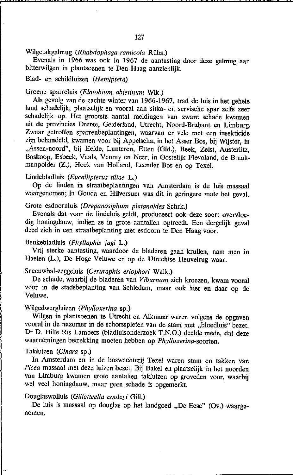Evenals in 1966 was ook in 1967 de aantasting door deze galmug aan bitterwilgen in plantsoenen te Den Haag aanzienlijk.

# Blad- en schildluizen *(Hemiptera)*

# Groene sparreluis *(Elatobium abietinum* WIk.)

Als gevolg van de zachte winter van 1966-1967, trad de luis in het gehele land schadelijk, plaatselijk en vooral aan sitka- en servische spar zelfs zeer schadelijk op. Het grootste aantal meldingen van zware schade kwamen uit de provincies Drente, Gelderland. Utrecht, Noord-Brabant en Limburg. Zwaar getroffen sparrenbeplantingen, waarvan er vele met een insekticide zijn behandeld, kwamen voor bij Appelscha, in het Asser Bos, bij Wijster, in "Assen-noord", bij Eelde, Lunteren, Etten (Gld.), Beek, Zeist, Austerlitz, Boskoop. Esbeek. Vaals. Venray en Neer. in Oostelijk Flevoland, de Braakmanpolder (Z.), Hoek van Holland, Leender Bos en op Texel.

# Lindebladluis *(Eucallipterus tiliae L.)*

Op de linden in straatbeplantingen van Amsterdam is de luis massaal waargenomen; in Gouda en Hilversum was dit in geringere mate het geval.

# Grote esdoornluis *(Drepanosiphum platanoides* Schrk.)

Evenals dat voor de lindeluis geldt, produceert ook deze soort overvloedig honingdauw, indien ze in grote aantallen optreedt. Een dergelijk geval deed zich in een straatbeplanting met esdoorn te Den Haag voor.

# Beukebladluis *(Phyllaphis tagi* L.)

Vrij sterke aantasting, waardoor de bladeren gaan krullen, nam men in Haelen (L.), De Hoge Veluwe en op de Utrechtse Heuvelrug waar.

# Sneeuwbal-zeggeluis *(Ceruraphis eriophori* Walk.)

De schade, waarbij de bladeren van *Viburnum* zich kroezen, kwam vooral voor in de stadsbeplanting van Schiedam, maar ook hier en daar op de Veluwe.

# Wilgedwergluizen *(Phylloxerina* sp.)

Wilgen in plantsoenen te Utrecht en Alkmaar waren volgens de opgaven vooral in de nazomer in de schorsspleten van de stam met "bloedluis" bezet. Or D. Hille Ris Lambers (bladluisonderzoek T.N.O.) deelde mede, dat deze waarnemingen betrekking moeten hebben op *Phylloxerina-soorten.* 

# Takluizen *(Cinara* sp.)

In Amsterdam en in de boswachterij Texel waren stam en takken van *Picea* massaal met deze luizen bezet. Bij Bakel en plaatselijk in het noorden van Limburg kwamen grote aantallen takluizen op groveden voor, waarbij wel veel honingdauw, maar geen schade is opgemerkt.

# Oouglaswolluis *(Gilletteella cooleyi* Gill.)

De luis is massaal op douglas op het landgoed "De Eese" (Ov.) waarge**nomen.**